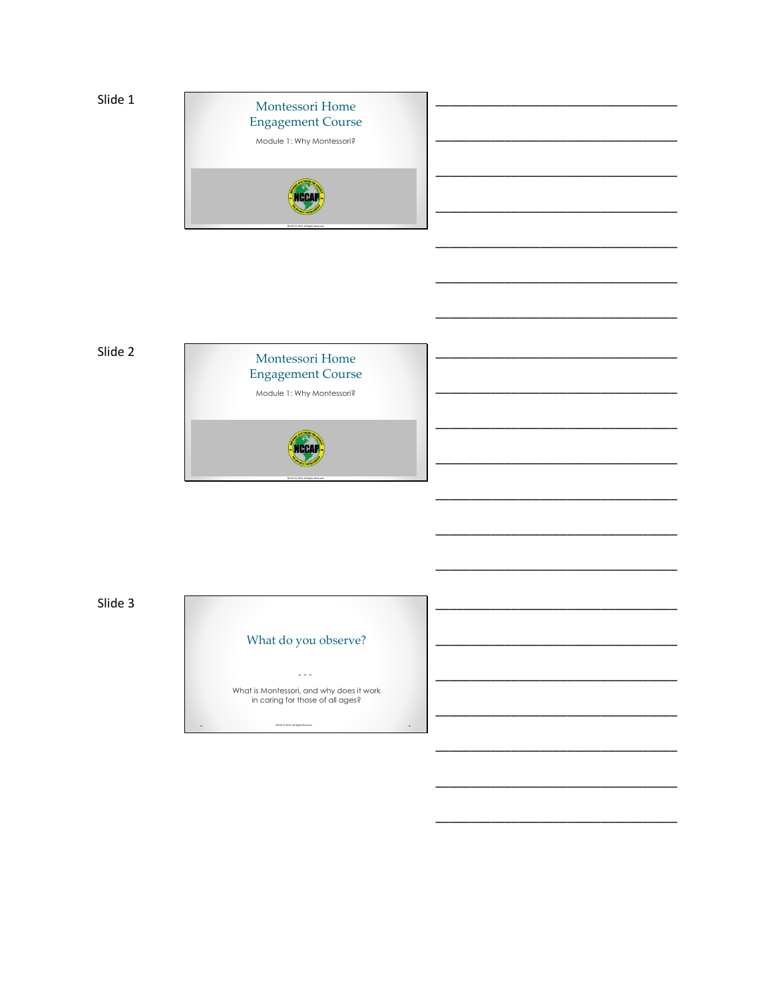





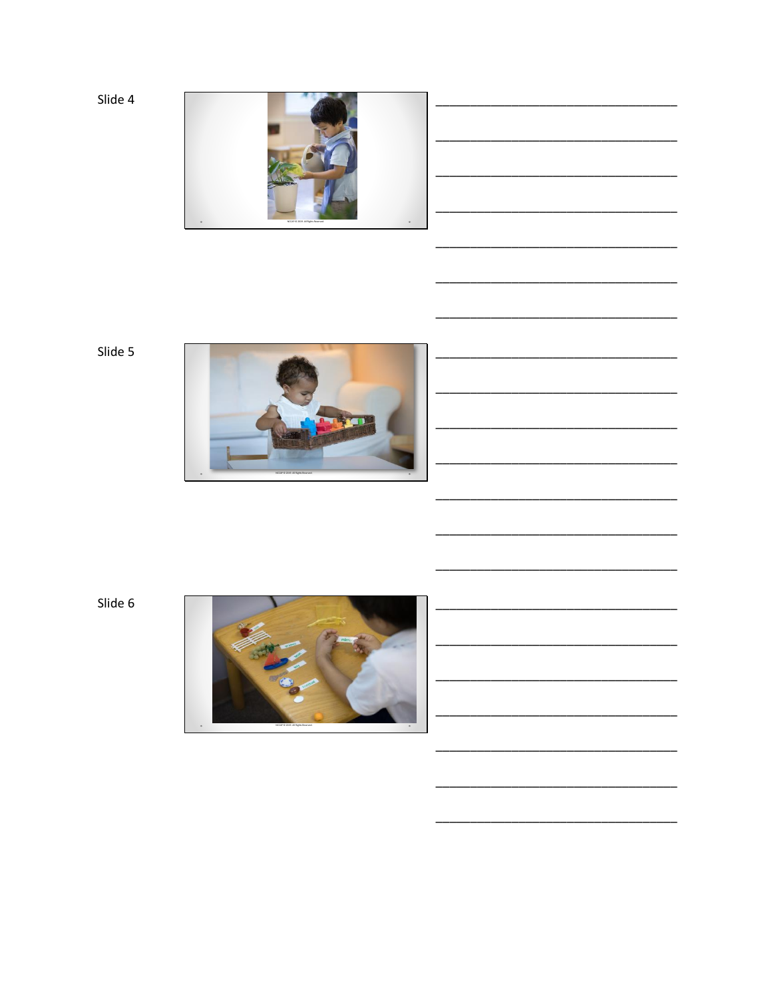Slide 4





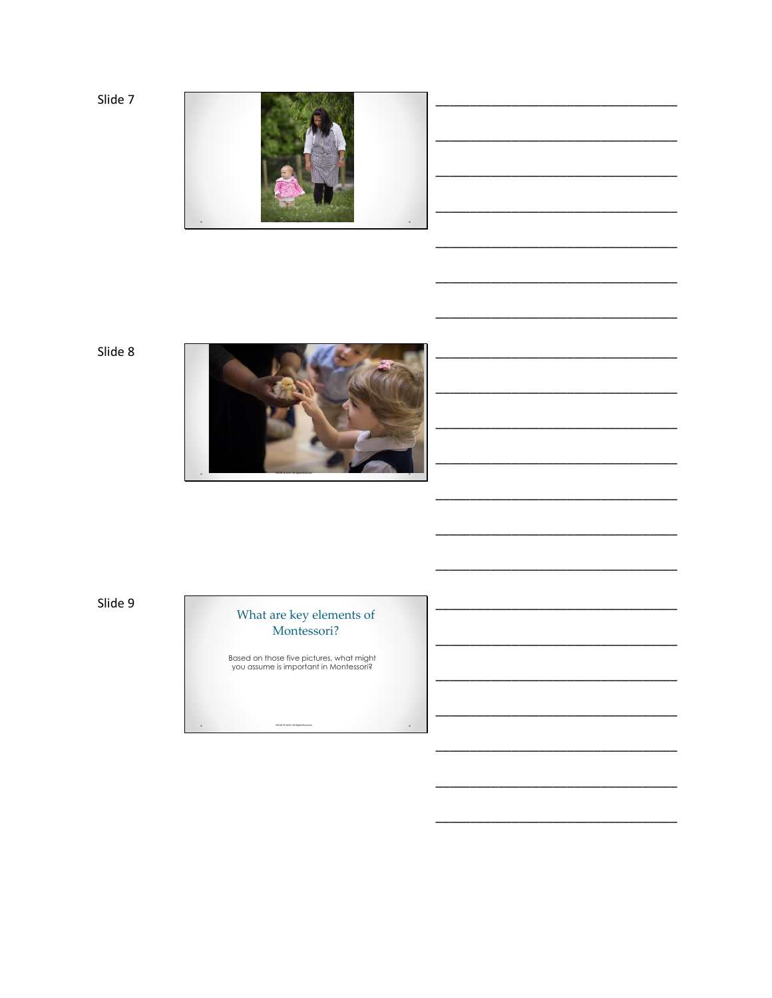Slide 7







#### What are key elements of Montessori?

Based on those five pictures, what might<br>you assume is important in Montessori?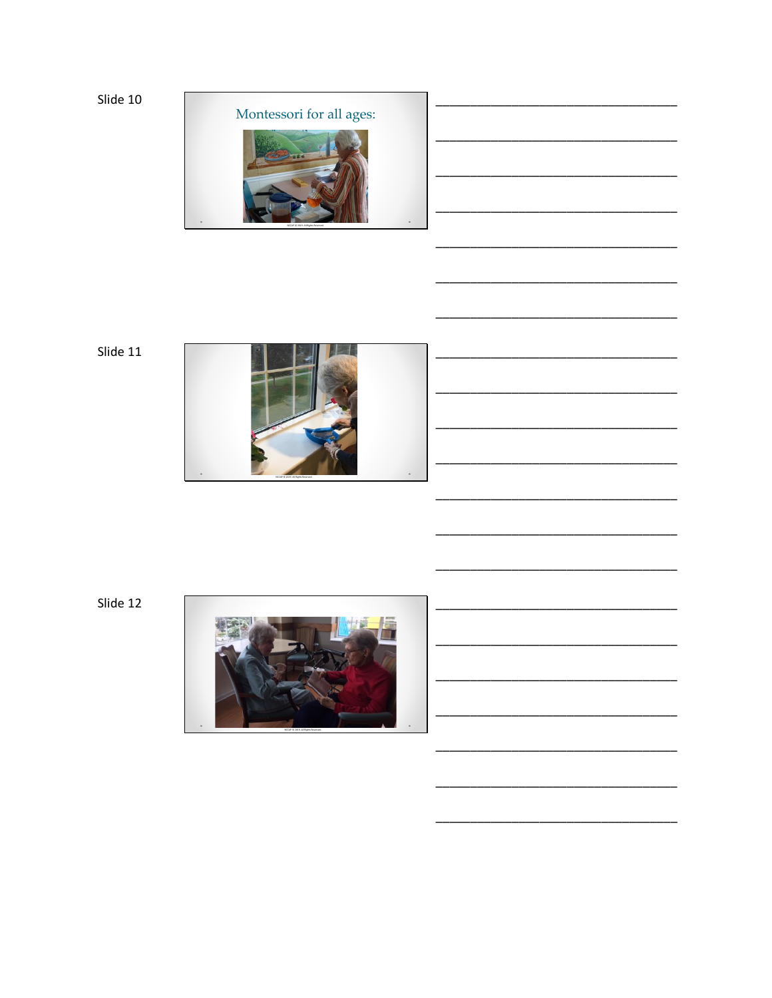

#### Slide 11



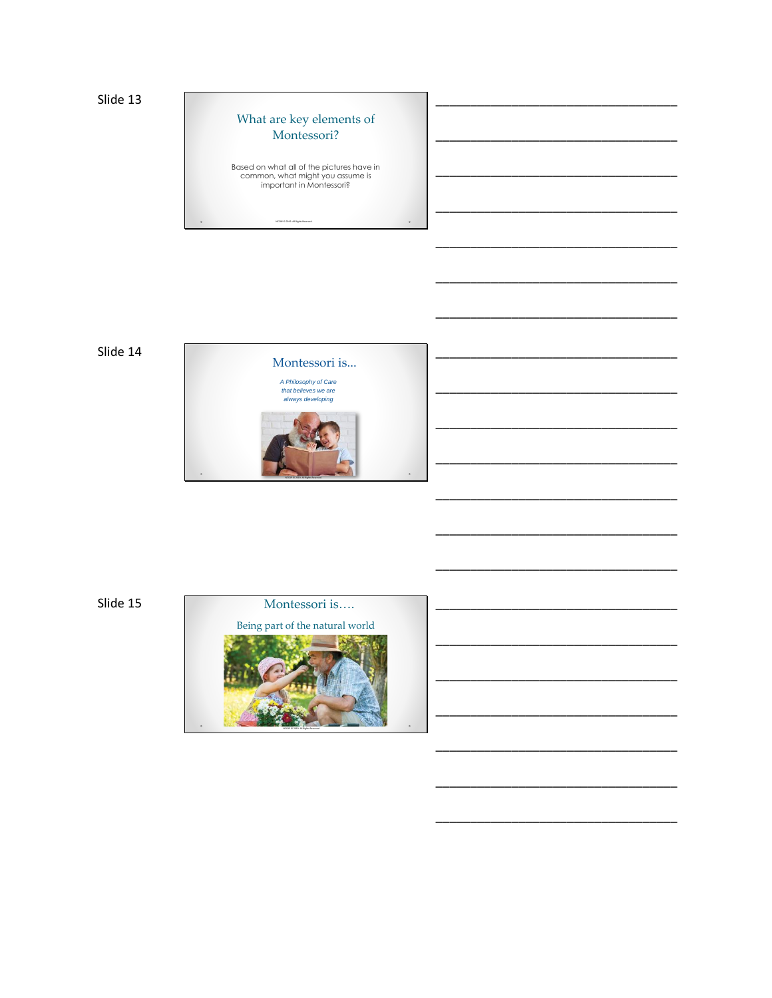

Slide 14



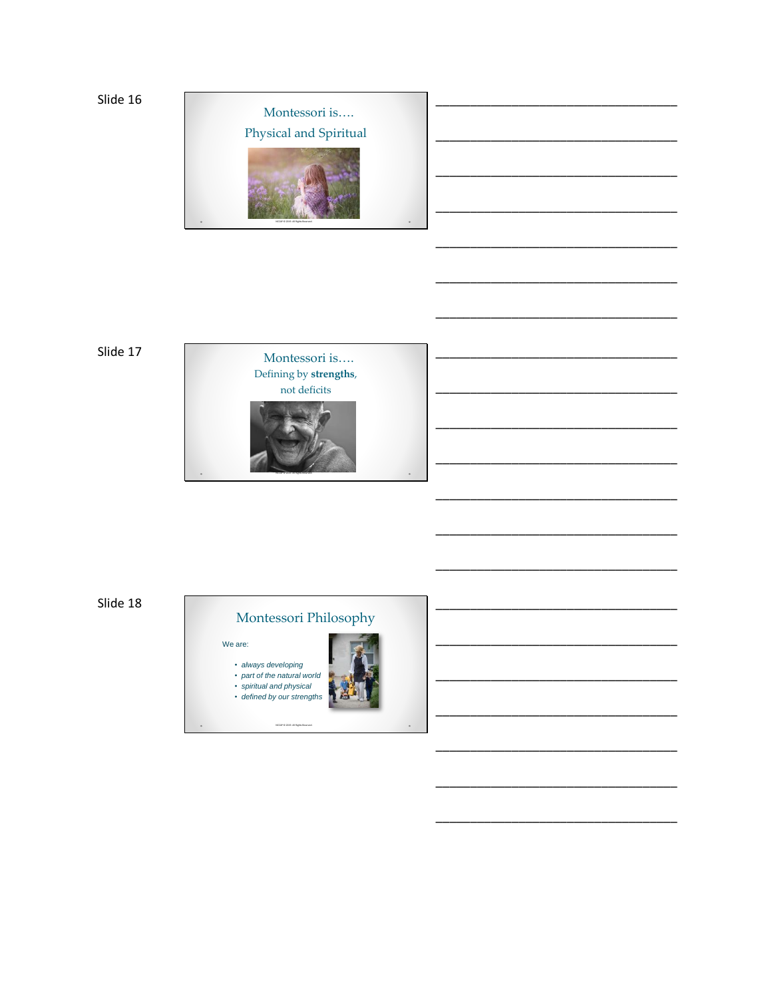

## Slide 18

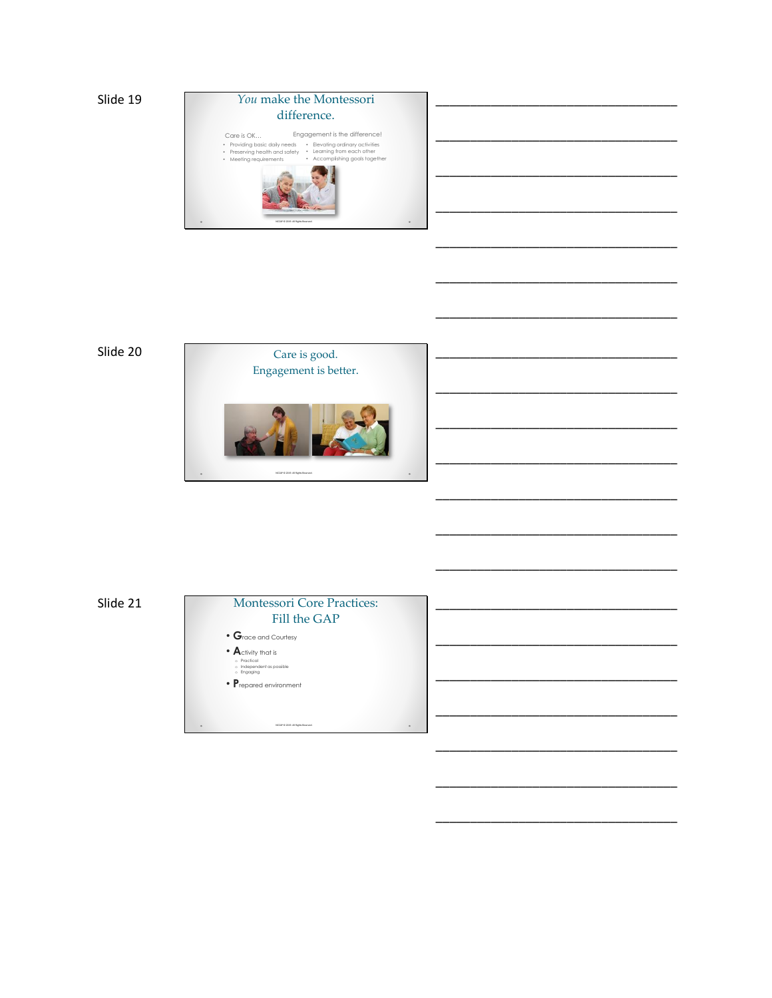

\_\_\_\_\_\_\_\_\_\_\_\_\_\_\_\_\_\_\_\_\_\_\_\_\_\_\_\_\_\_\_\_\_\_\_

\_\_\_\_\_\_\_\_\_\_\_\_\_\_\_\_\_\_\_\_\_\_\_\_\_\_\_\_\_\_\_\_\_\_\_

\_\_\_\_\_\_\_\_\_\_\_\_\_\_\_\_\_\_\_\_\_\_\_\_\_\_\_\_\_\_\_\_\_\_\_

\_\_\_\_\_\_\_\_\_\_\_\_\_\_\_\_\_\_\_\_\_\_\_\_\_\_\_\_\_\_\_\_\_\_\_

\_\_\_\_\_\_\_\_\_\_\_\_\_\_\_\_\_\_\_\_\_\_\_\_\_\_\_\_\_\_\_\_\_\_\_

\_\_\_\_\_\_\_\_\_\_\_\_\_\_\_\_\_\_\_\_\_\_\_\_\_\_\_\_\_\_\_\_\_\_\_

\_\_\_\_\_\_\_\_\_\_\_\_\_\_\_\_\_\_\_\_\_\_\_\_\_\_\_\_\_\_\_\_\_\_\_

\_\_\_\_\_\_\_\_\_\_\_\_\_\_\_\_\_\_\_\_\_\_\_\_\_\_\_\_\_\_\_\_\_\_\_

\_\_\_\_\_\_\_\_\_\_\_\_\_\_\_\_\_\_\_\_\_\_\_\_\_\_\_\_\_\_\_\_\_\_\_

\_\_\_\_\_\_\_\_\_\_\_\_\_\_\_\_\_\_\_\_\_\_\_\_\_\_\_\_\_\_\_\_\_\_\_

\_\_\_\_\_\_\_\_\_\_\_\_\_\_\_\_\_\_\_\_\_\_\_\_\_\_\_\_\_\_\_\_\_\_\_

\_\_\_\_\_\_\_\_\_\_\_\_\_\_\_\_\_\_\_\_\_\_\_\_\_\_\_\_\_\_\_\_\_\_\_

\_\_\_\_\_\_\_\_\_\_\_\_\_\_\_\_\_\_\_\_\_\_\_\_\_\_\_\_\_\_\_\_\_\_\_

\_\_\_\_\_\_\_\_\_\_\_\_\_\_\_\_\_\_\_\_\_\_\_\_\_\_\_\_\_\_\_\_\_\_\_

\_\_\_\_\_\_\_\_\_\_\_\_\_\_\_\_\_\_\_\_\_\_\_\_\_\_\_\_\_\_\_\_\_\_\_

\_\_\_\_\_\_\_\_\_\_\_\_\_\_\_\_\_\_\_\_\_\_\_\_\_\_\_\_\_\_\_\_\_\_\_

\_\_\_\_\_\_\_\_\_\_\_\_\_\_\_\_\_\_\_\_\_\_\_\_\_\_\_\_\_\_\_\_\_\_\_

\_\_\_\_\_\_\_\_\_\_\_\_\_\_\_\_\_\_\_\_\_\_\_\_\_\_\_\_\_\_\_\_\_\_\_

\_\_\_\_\_\_\_\_\_\_\_\_\_\_\_\_\_\_\_\_\_\_\_\_\_\_\_\_\_\_\_\_\_\_\_

\_\_\_\_\_\_\_\_\_\_\_\_\_\_\_\_\_\_\_\_\_\_\_\_\_\_\_\_\_\_\_\_\_\_\_

\_\_\_\_\_\_\_\_\_\_\_\_\_\_\_\_\_\_\_\_\_\_\_\_\_\_\_\_\_\_\_\_\_\_\_

Slide 20



Slide 21

#### Montessori Core Practices: Fill the GAP

NCCAP © 2019. All Rights Reserved.

 $\ddot{\phantom{0}}$ 

- **G**race and Courtesy
- **A**ctivity that is
- o Practical o Independent as possible o Engaging
- **P**repared environment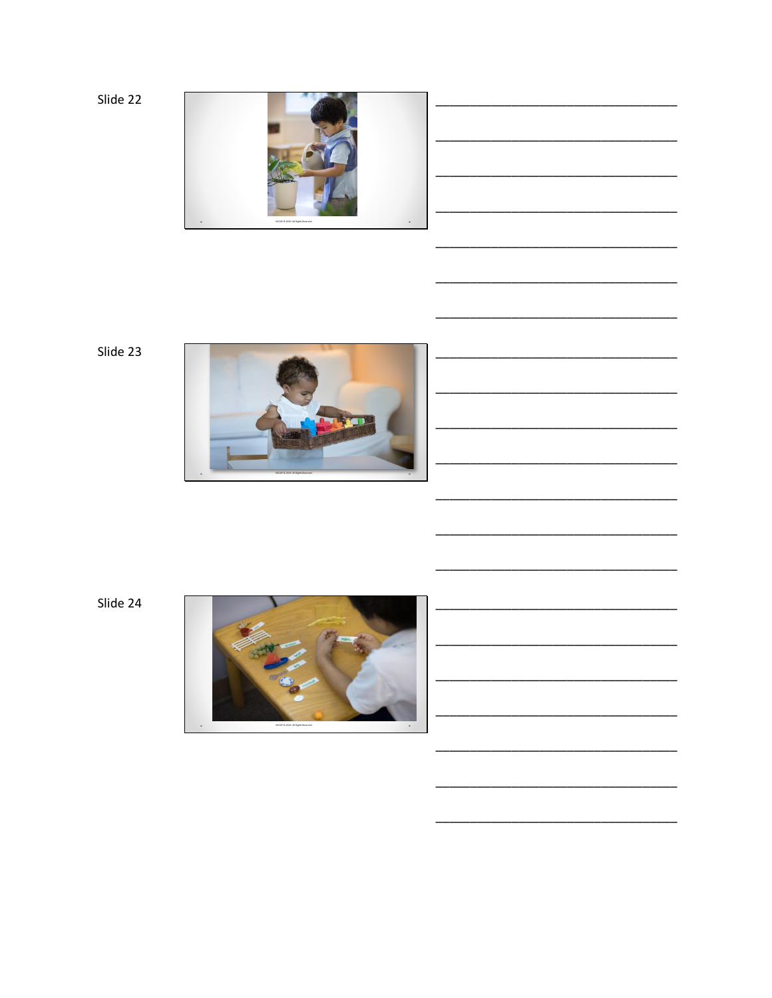Slide 22





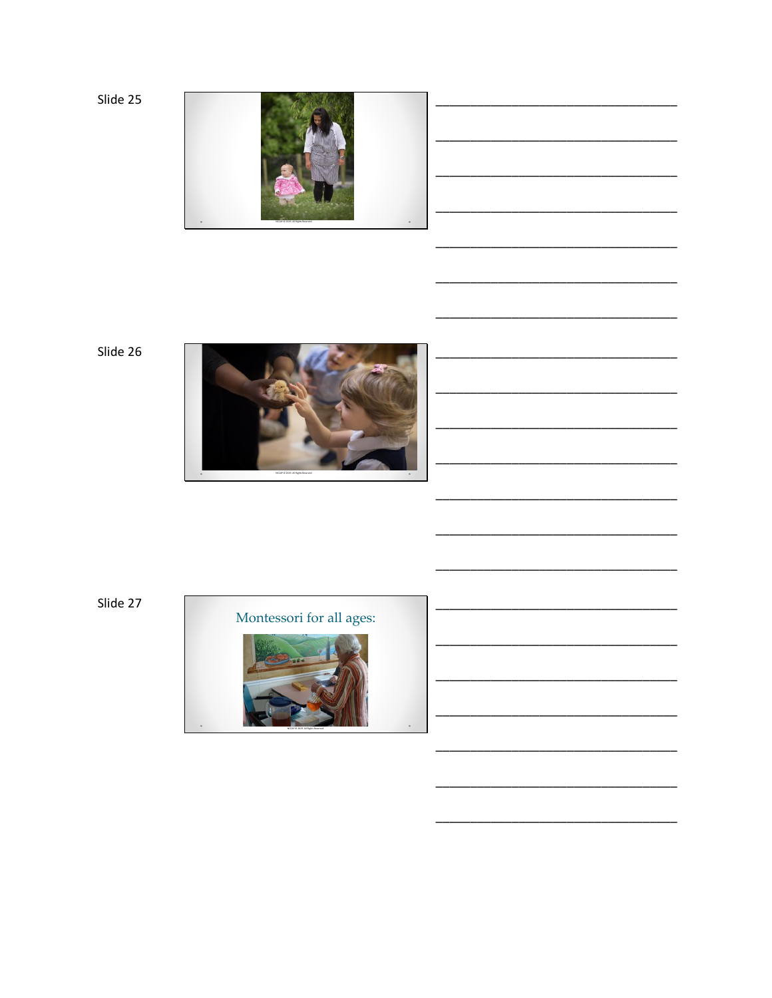Slide 25







Montessori for all ages:

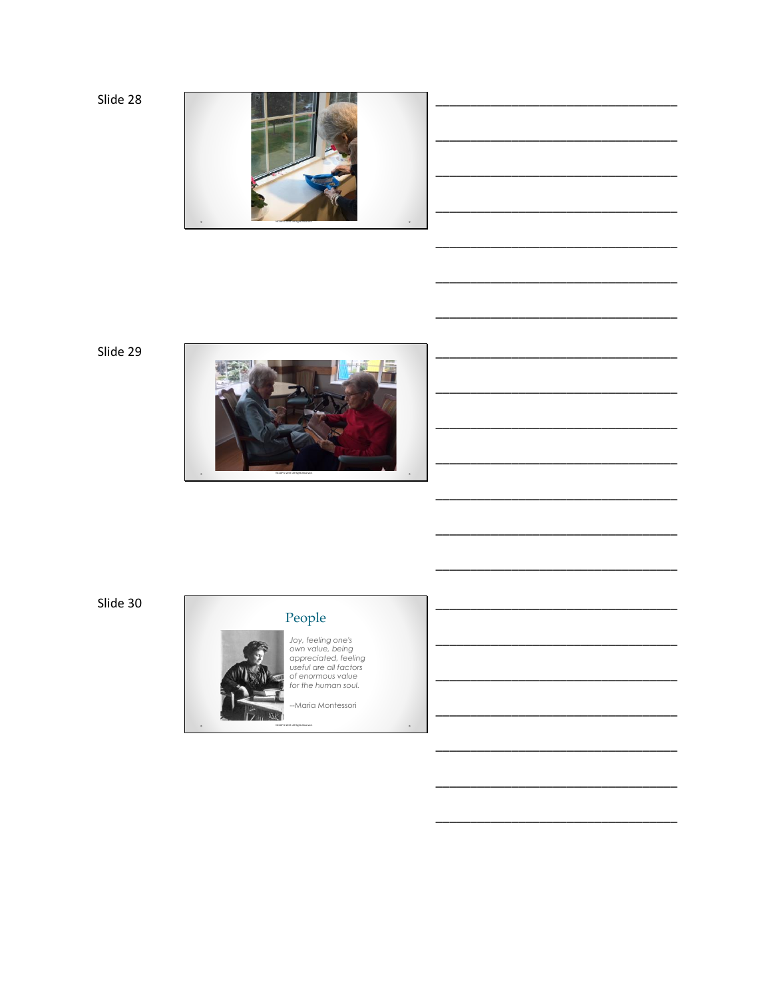Slide 28









## People

Joy, feeling one's<br>own value, being<br>appreciated, feeling<br>useful are all factors<br>of enormous value<br>for the human soul.

Maria Montessori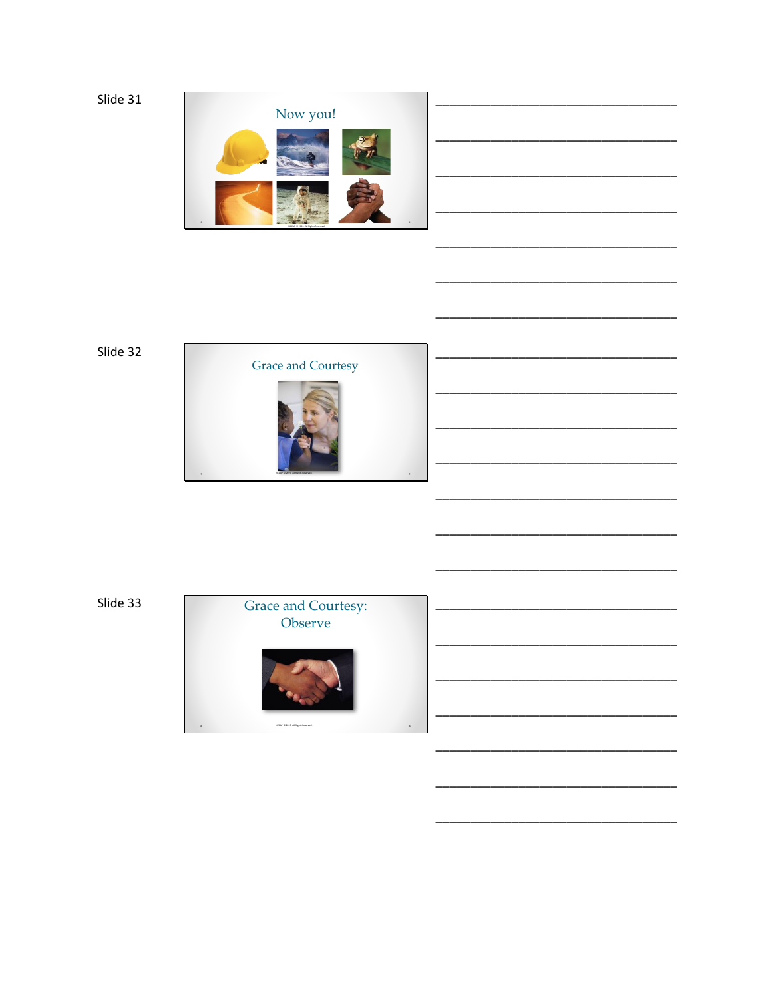Slide 31





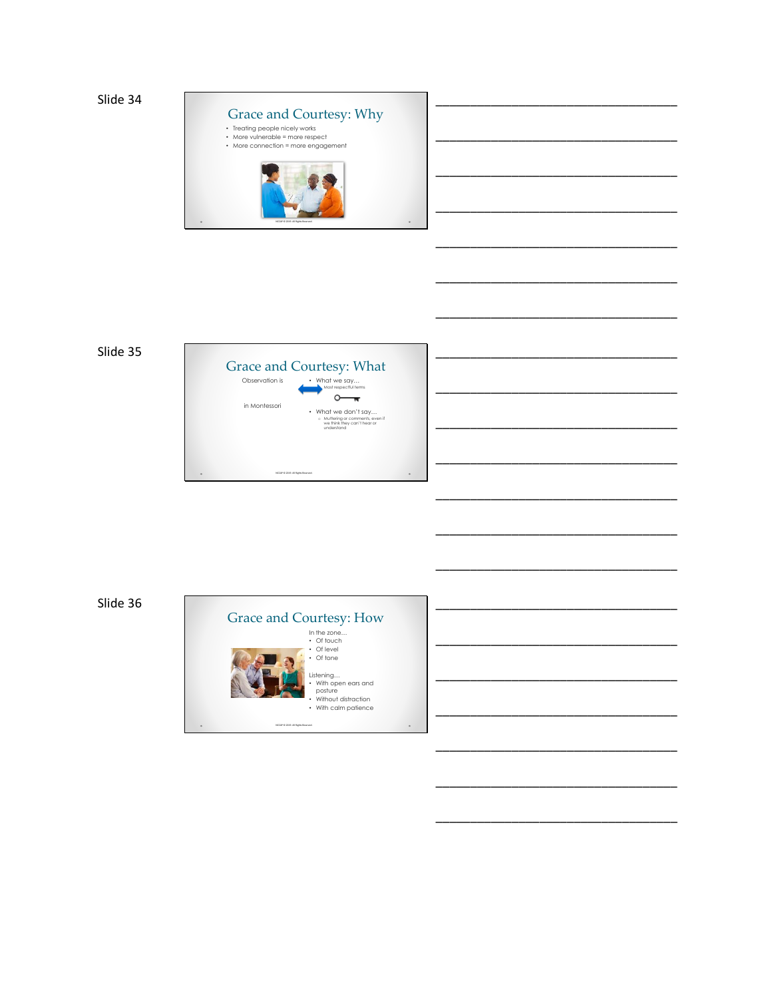

\_\_\_\_\_\_\_\_\_\_\_\_\_\_\_\_\_\_\_\_\_\_\_\_\_\_\_\_\_\_\_\_\_\_\_

\_\_\_\_\_\_\_\_\_\_\_\_\_\_\_\_\_\_\_\_\_\_\_\_\_\_\_\_\_\_\_\_\_\_\_

\_\_\_\_\_\_\_\_\_\_\_\_\_\_\_\_\_\_\_\_\_\_\_\_\_\_\_\_\_\_\_\_\_\_\_

\_\_\_\_\_\_\_\_\_\_\_\_\_\_\_\_\_\_\_\_\_\_\_\_\_\_\_\_\_\_\_\_\_\_\_

\_\_\_\_\_\_\_\_\_\_\_\_\_\_\_\_\_\_\_\_\_\_\_\_\_\_\_\_\_\_\_\_\_\_\_

\_\_\_\_\_\_\_\_\_\_\_\_\_\_\_\_\_\_\_\_\_\_\_\_\_\_\_\_\_\_\_\_\_\_\_

\_\_\_\_\_\_\_\_\_\_\_\_\_\_\_\_\_\_\_\_\_\_\_\_\_\_\_\_\_\_\_\_\_\_\_

\_\_\_\_\_\_\_\_\_\_\_\_\_\_\_\_\_\_\_\_\_\_\_\_\_\_\_\_\_\_\_\_\_\_\_

\_\_\_\_\_\_\_\_\_\_\_\_\_\_\_\_\_\_\_\_\_\_\_\_\_\_\_\_\_\_\_\_\_\_\_

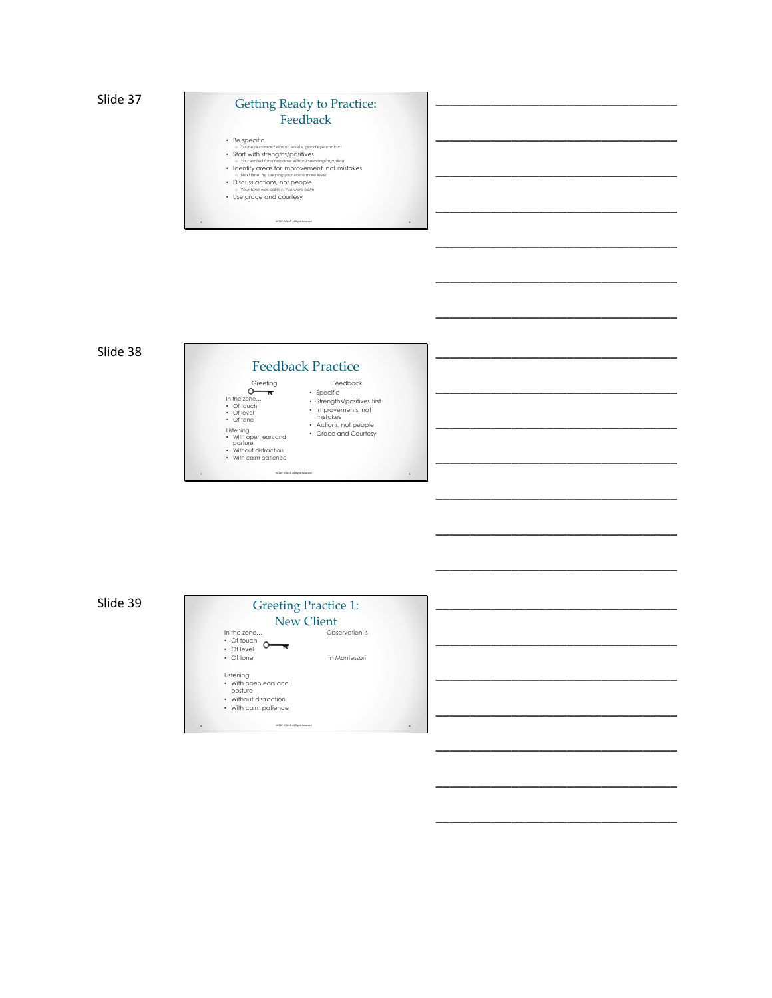#### Getting Ready to Practice: Feedback

- Be specific o *Your eye contact was on level* v. *good eye contact* Start with strengths/positives o *You waited for a response without seeming impatient*
- Identify areas for improvement, not mistakes o *Next time, try keeping your voice more level*

NCCAP © 2019. All Rights Reserved.

- Discuss actions, not people
- o *Your tone was calm v. You were calm* Use grace and courtesy



\_\_\_\_\_\_\_\_\_\_\_\_\_\_\_\_\_\_\_\_\_\_\_\_\_\_\_\_\_\_\_\_\_\_\_

\_\_\_\_\_\_\_\_\_\_\_\_\_\_\_\_\_\_\_\_\_\_\_\_\_\_\_\_\_\_\_\_\_\_\_

\_\_\_\_\_\_\_\_\_\_\_\_\_\_\_\_\_\_\_\_\_\_\_\_\_\_\_\_\_\_\_\_\_\_\_

\_\_\_\_\_\_\_\_\_\_\_\_\_\_\_\_\_\_\_\_\_\_\_\_\_\_\_\_\_\_\_\_\_\_\_

\_\_\_\_\_\_\_\_\_\_\_\_\_\_\_\_\_\_\_\_\_\_\_\_\_\_\_\_\_\_\_\_\_\_\_

\_\_\_\_\_\_\_\_\_\_\_\_\_\_\_\_\_\_\_\_\_\_\_\_\_\_\_\_\_\_\_\_\_\_\_

\_\_\_\_\_\_\_\_\_\_\_\_\_\_\_\_\_\_\_\_\_\_\_\_\_\_\_\_\_\_\_\_\_\_\_

\_\_\_\_\_\_\_\_\_\_\_\_\_\_\_\_\_\_\_\_\_\_\_\_\_\_\_\_\_\_\_\_\_\_\_

\_\_\_\_\_\_\_\_\_\_\_\_\_\_\_\_\_\_\_\_\_\_\_\_\_\_\_\_\_\_\_\_\_\_\_

\_\_\_\_\_\_\_\_\_\_\_\_\_\_\_\_\_\_\_\_\_\_\_\_\_\_\_\_\_\_\_\_\_\_\_

\_\_\_\_\_\_\_\_\_\_\_\_\_\_\_\_\_\_\_\_\_\_\_\_\_\_\_\_\_\_\_\_\_\_\_

\_\_\_\_\_\_\_\_\_\_\_\_\_\_\_\_\_\_\_\_\_\_\_\_\_\_\_\_\_\_\_\_\_\_\_

\_\_\_\_\_\_\_\_\_\_\_\_\_\_\_\_\_\_\_\_\_\_\_\_\_\_\_\_\_\_\_\_\_\_\_

\_\_\_\_\_\_\_\_\_\_\_\_\_\_\_\_\_\_\_\_\_\_\_\_\_\_\_\_\_\_\_\_\_\_\_

\_\_\_\_\_\_\_\_\_\_\_\_\_\_\_\_\_\_\_\_\_\_\_\_\_\_\_\_\_\_\_\_\_\_\_

Slide 38



.

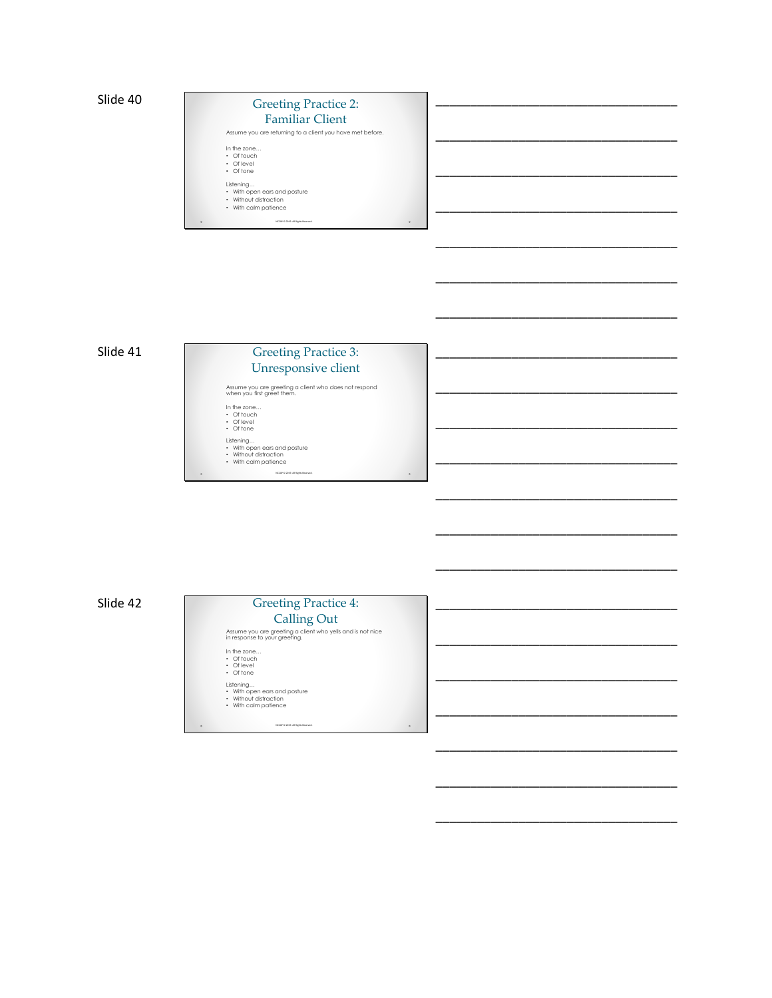

\_\_\_\_\_\_\_\_\_\_\_\_\_\_\_\_\_\_\_\_\_\_\_\_\_\_\_\_\_\_\_\_\_\_\_

\_\_\_\_\_\_\_\_\_\_\_\_\_\_\_\_\_\_\_\_\_\_\_\_\_\_\_\_\_\_\_\_\_\_\_

\_\_\_\_\_\_\_\_\_\_\_\_\_\_\_\_\_\_\_\_\_\_\_\_\_\_\_\_\_\_\_\_\_\_\_

\_\_\_\_\_\_\_\_\_\_\_\_\_\_\_\_\_\_\_\_\_\_\_\_\_\_\_\_\_\_\_\_\_\_\_

\_\_\_\_\_\_\_\_\_\_\_\_\_\_\_\_\_\_\_\_\_\_\_\_\_\_\_\_\_\_\_\_\_\_\_

\_\_\_\_\_\_\_\_\_\_\_\_\_\_\_\_\_\_\_\_\_\_\_\_\_\_\_\_\_\_\_\_\_\_\_

\_\_\_\_\_\_\_\_\_\_\_\_\_\_\_\_\_\_\_\_\_\_\_\_\_\_\_\_\_\_\_\_\_\_\_

\_\_\_\_\_\_\_\_\_\_\_\_\_\_\_\_\_\_\_\_\_\_\_\_\_\_\_\_\_\_\_\_\_\_\_

\_\_\_\_\_\_\_\_\_\_\_\_\_\_\_\_\_\_\_\_\_\_\_\_\_\_\_\_\_\_\_\_\_\_\_

\_\_\_\_\_\_\_\_\_\_\_\_\_\_\_\_\_\_\_\_\_\_\_\_\_\_\_\_\_\_\_\_\_\_\_

\_\_\_\_\_\_\_\_\_\_\_\_\_\_\_\_\_\_\_\_\_\_\_\_\_\_\_\_\_\_\_\_\_\_\_

\_\_\_\_\_\_\_\_\_\_\_\_\_\_\_\_\_\_\_\_\_\_\_\_\_\_\_\_\_\_\_\_\_\_\_

\_\_\_\_\_\_\_\_\_\_\_\_\_\_\_\_\_\_\_\_\_\_\_\_\_\_\_\_\_\_\_\_\_\_\_

\_\_\_\_\_\_\_\_\_\_\_\_\_\_\_\_\_\_\_\_\_\_\_\_\_\_\_\_\_\_\_\_\_\_\_

\_\_\_\_\_\_\_\_\_\_\_\_\_\_\_\_\_\_\_\_\_\_\_\_\_\_\_\_\_\_\_\_\_\_\_

\_\_\_\_\_\_\_\_\_\_\_\_\_\_\_\_\_\_\_\_\_\_\_\_\_\_\_\_\_\_\_\_\_\_\_

Slide 41

# Greeting Practice 3: Unresponsive client Assume you are greeting a client who does not respond when you first greet them. In the zone… • Of touch • Of level • Of tone Listening… • With open ears and posture • Without distraction • With calm patience NCCAP © 2019. All Rights Reserved.

.

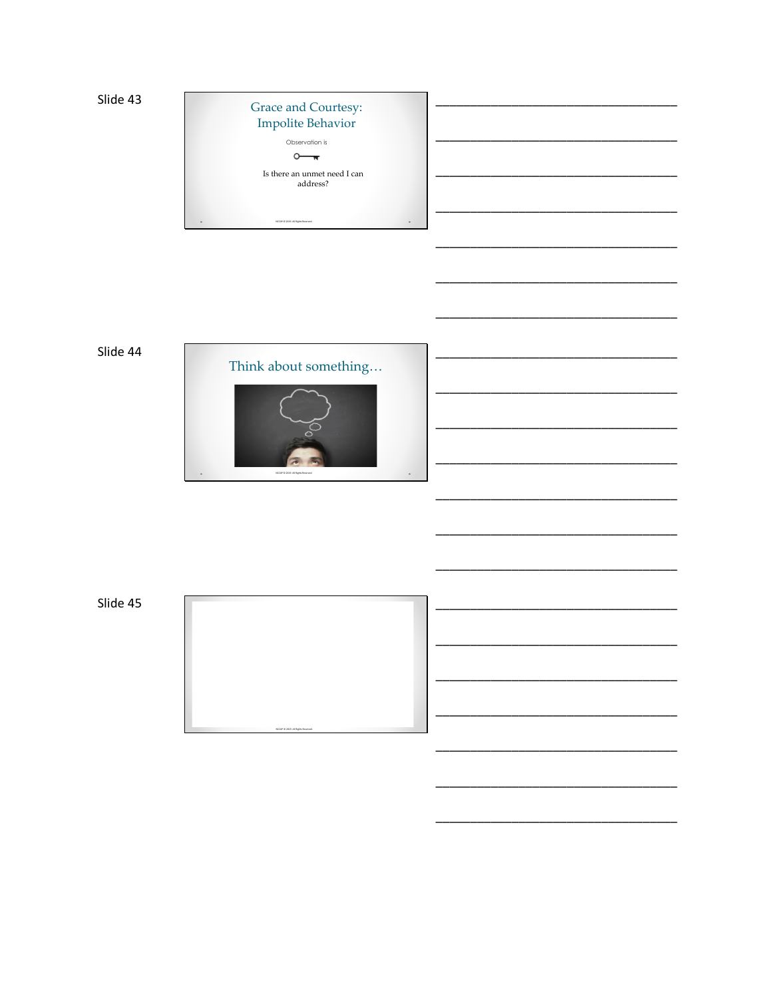

 $\overline{\phantom{a}}$ 

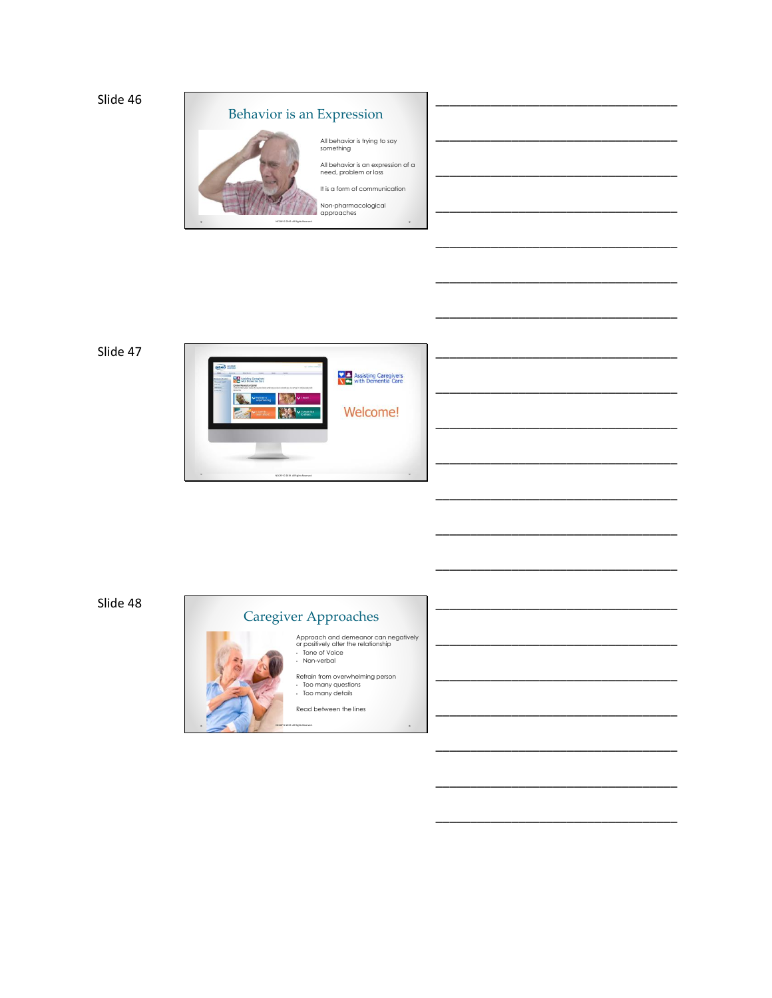

\_\_\_\_\_\_\_\_\_\_\_\_\_\_\_\_\_\_\_\_\_\_\_\_\_\_\_\_\_\_\_\_\_\_\_

\_\_\_\_\_\_\_\_\_\_\_\_\_\_\_\_\_\_\_\_\_\_\_\_\_\_\_\_\_\_\_\_\_\_\_

\_\_\_\_\_\_\_\_\_\_\_\_\_\_\_\_\_\_\_\_\_\_\_\_\_\_\_\_\_\_\_\_\_\_\_

\_\_\_\_\_\_\_\_\_\_\_\_\_\_\_\_\_\_\_\_\_\_\_\_\_\_\_\_\_\_\_\_\_\_\_

\_\_\_\_\_\_\_\_\_\_\_\_\_\_\_\_\_\_\_\_\_\_\_\_\_\_\_\_\_\_\_\_\_\_\_

\_\_\_\_\_\_\_\_\_\_\_\_\_\_\_\_\_\_\_\_\_\_\_\_\_\_\_\_\_\_\_\_\_\_\_

\_\_\_\_\_\_\_\_\_\_\_\_\_\_\_\_\_\_\_\_\_\_\_\_\_\_\_\_\_\_\_\_\_\_\_

\_\_\_\_\_\_\_\_\_\_\_\_\_\_\_\_\_\_\_\_\_\_\_\_\_\_\_\_\_\_\_\_\_\_\_

\_\_\_\_\_\_\_\_\_\_\_\_\_\_\_\_\_\_\_\_\_\_\_\_\_\_\_\_\_\_\_\_\_\_\_

\_\_\_\_\_\_\_\_\_\_\_\_\_\_\_\_\_\_\_\_\_\_\_\_\_\_\_\_\_\_\_\_\_\_\_

\_\_\_\_\_\_\_\_\_\_\_\_\_\_\_\_\_\_\_\_\_\_\_\_\_\_\_\_\_\_\_\_\_\_\_

\_\_\_\_\_\_\_\_\_\_\_\_\_\_\_\_\_\_\_\_\_\_\_\_\_\_\_\_\_\_\_\_\_\_\_

\_\_\_\_\_\_\_\_\_\_\_\_\_\_\_\_\_\_\_\_\_\_\_\_\_\_\_\_\_\_\_\_\_\_\_

\_\_\_\_\_\_\_\_\_\_\_\_\_\_\_\_\_\_\_\_\_\_\_\_\_\_\_\_\_\_\_\_\_\_\_

\_\_\_\_\_\_\_\_\_\_\_\_\_\_\_\_\_\_\_\_\_\_\_\_\_\_\_\_\_\_\_\_\_\_\_

\_\_\_\_\_\_\_\_\_\_\_\_\_\_\_\_\_\_\_\_\_\_\_\_\_\_\_\_\_\_\_\_\_\_\_

#### Slide 47



Slide 48



NCCAP © 2019. All Rights Reserved.

Refrain from overwhelming person • Too many questions • Too many details

Read between the lines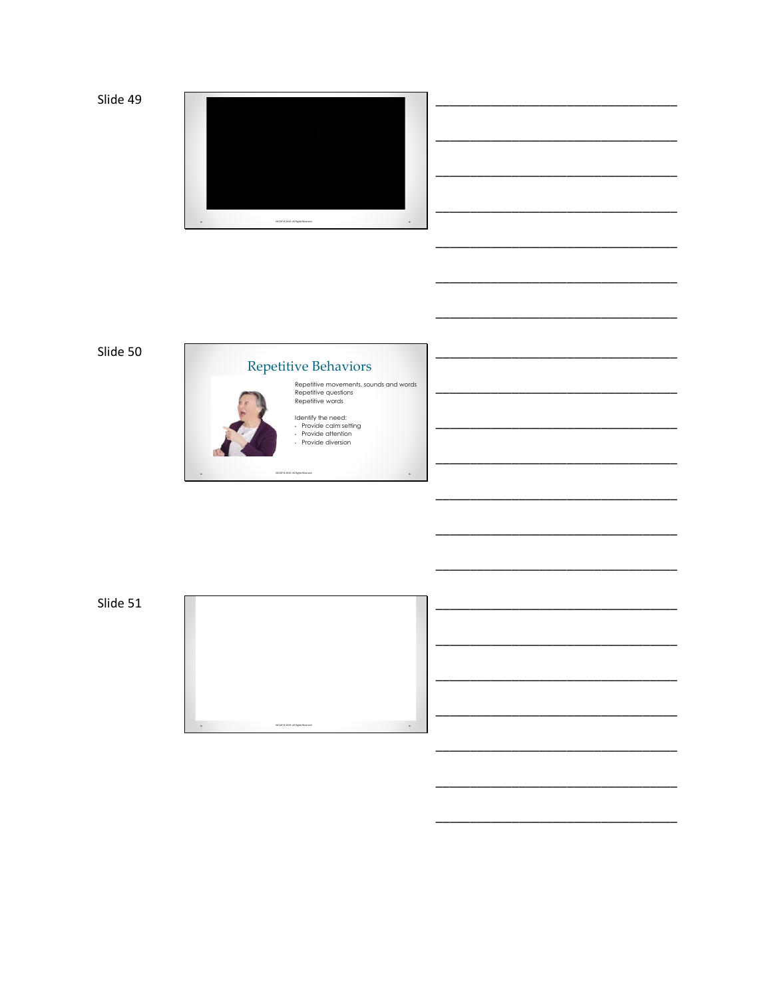





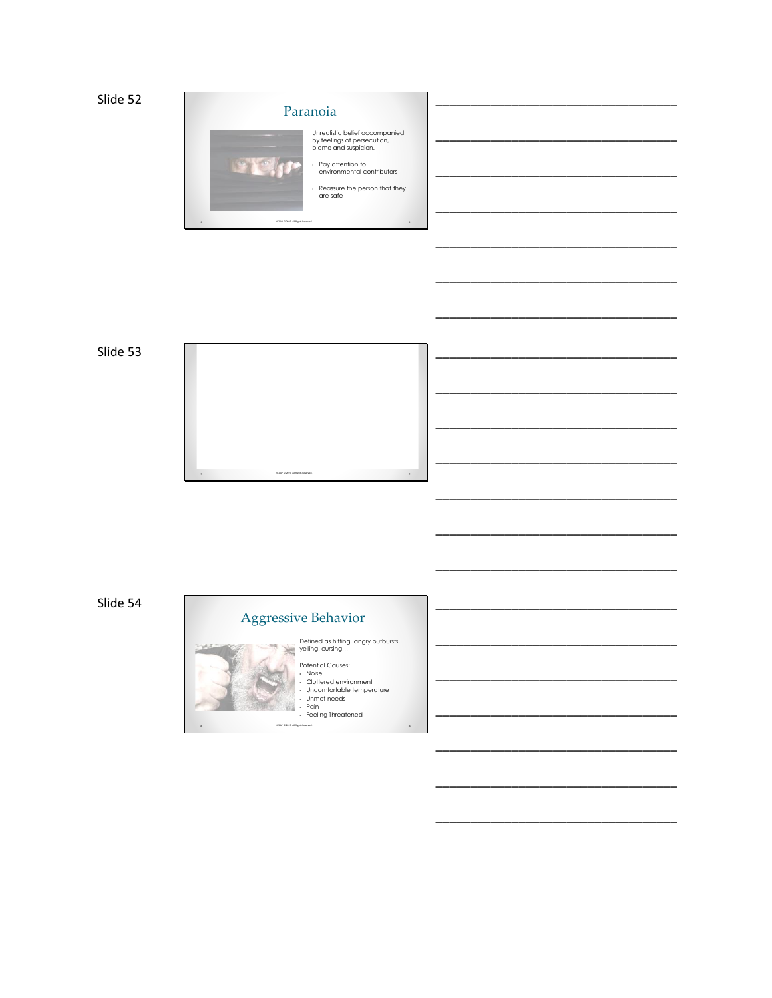

Slide 53



\_\_\_\_\_\_\_\_\_\_\_\_\_\_\_\_\_\_\_\_\_\_\_\_\_\_\_\_\_\_\_\_\_\_\_

\_\_\_\_\_\_\_\_\_\_\_\_\_\_\_\_\_\_\_\_\_\_\_\_\_\_\_\_\_\_\_\_\_\_\_

\_\_\_\_\_\_\_\_\_\_\_\_\_\_\_\_\_\_\_\_\_\_\_\_\_\_\_\_\_\_\_\_\_\_\_

\_\_\_\_\_\_\_\_\_\_\_\_\_\_\_\_\_\_\_\_\_\_\_\_\_\_\_\_\_\_\_\_\_\_\_

\_\_\_\_\_\_\_\_\_\_\_\_\_\_\_\_\_\_\_\_\_\_\_\_\_\_\_\_\_\_\_\_\_\_\_

\_\_\_\_\_\_\_\_\_\_\_\_\_\_\_\_\_\_\_\_\_\_\_\_\_\_\_\_\_\_\_\_\_\_\_

\_\_\_\_\_\_\_\_\_\_\_\_\_\_\_\_\_\_\_\_\_\_\_\_\_\_\_\_\_\_\_\_\_\_\_

\_\_\_\_\_\_\_\_\_\_\_\_\_\_\_\_\_\_\_\_\_\_\_\_\_\_\_\_\_\_\_\_\_\_\_

\_\_\_\_\_\_\_\_\_\_\_\_\_\_\_\_\_\_\_\_\_\_\_\_\_\_\_\_\_\_\_\_\_\_\_

\_\_\_\_\_\_\_\_\_\_\_\_\_\_\_\_\_\_\_\_\_\_\_\_\_\_\_\_\_\_\_\_\_\_\_

\_\_\_\_\_\_\_\_\_\_\_\_\_\_\_\_\_\_\_\_\_\_\_\_\_\_\_\_\_\_\_\_\_\_\_

Slide 54



NCCAP © 2019. All Rights Reserved.

Defined as hitting, angry outbursts, yelling, cursing…

Potential Causes:<br>• Noise<br>• Cluttered environment<br>• Uncomfortable temperature<br>• Unmet needs<br>• Paeling Threatened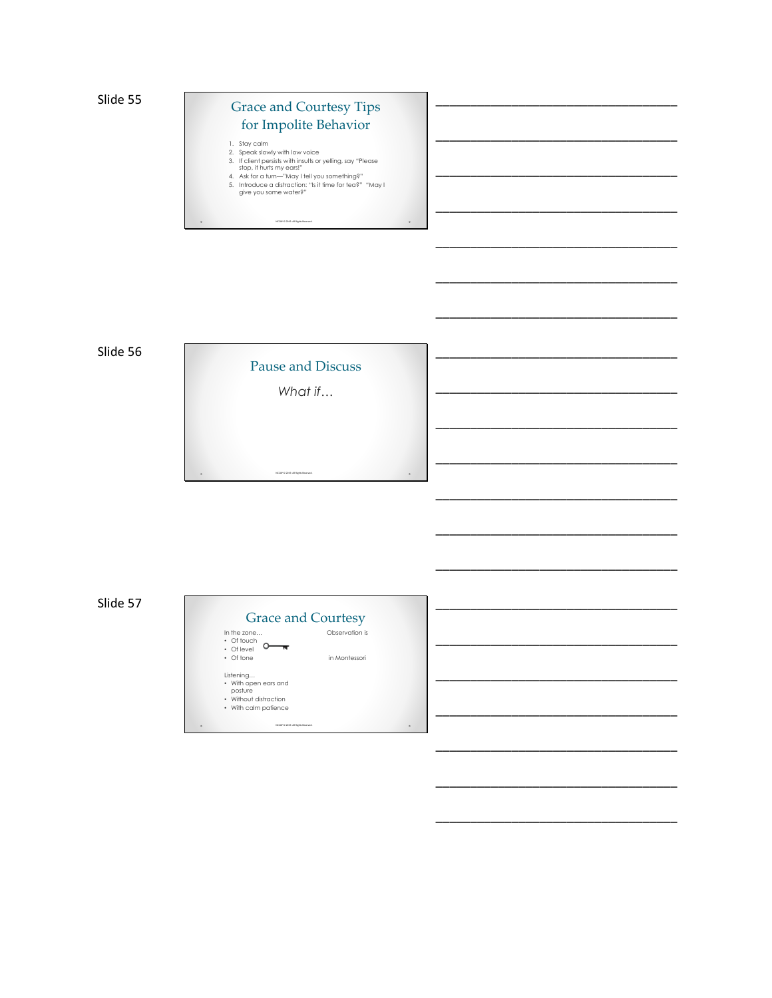# Grace and Courtesy Tips for Impolite Behavior 1. Stay calm<br>
2. Speak slowly with low voice<br>
3. It client persists with insults or yelling, say "Please<br>
stop, it hurts my ears!"<br>
4. Ask for a turn—"May I tell you something?"<br>
5. Introduce a distraction: "Is it fime for

\_\_\_\_\_\_\_\_\_\_\_\_\_\_\_\_\_\_\_\_\_\_\_\_\_\_\_\_\_\_\_\_\_\_\_

\_\_\_\_\_\_\_\_\_\_\_\_\_\_\_\_\_\_\_\_\_\_\_\_\_\_\_\_\_\_\_\_\_\_\_

\_\_\_\_\_\_\_\_\_\_\_\_\_\_\_\_\_\_\_\_\_\_\_\_\_\_\_\_\_\_\_\_\_\_\_

\_\_\_\_\_\_\_\_\_\_\_\_\_\_\_\_\_\_\_\_\_\_\_\_\_\_\_\_\_\_\_\_\_\_\_

\_\_\_\_\_\_\_\_\_\_\_\_\_\_\_\_\_\_\_\_\_\_\_\_\_\_\_\_\_\_\_\_\_\_\_

\_\_\_\_\_\_\_\_\_\_\_\_\_\_\_\_\_\_\_\_\_\_\_\_\_\_\_\_\_\_\_\_\_\_\_

\_\_\_\_\_\_\_\_\_\_\_\_\_\_\_\_\_\_\_\_\_\_\_\_\_\_\_\_\_\_\_\_\_\_\_

\_\_\_\_\_\_\_\_\_\_\_\_\_\_\_\_\_\_\_\_\_\_\_\_\_\_\_\_\_\_\_\_\_\_\_

\_\_\_\_\_\_\_\_\_\_\_\_\_\_\_\_\_\_\_\_\_\_\_\_\_\_\_\_\_\_\_\_\_\_\_

\_\_\_\_\_\_\_\_\_\_\_\_\_\_\_\_\_\_\_\_\_\_\_\_\_\_\_\_\_\_\_\_\_\_\_

\_\_\_\_\_\_\_\_\_\_\_\_\_\_\_\_\_\_\_\_\_\_\_\_\_\_\_\_\_\_\_\_\_\_\_

\_\_\_\_\_\_\_\_\_\_\_\_\_\_\_\_\_\_\_\_\_\_\_\_\_\_\_\_\_\_\_\_\_\_\_

\_\_\_\_\_\_\_\_\_\_\_\_\_\_\_\_\_\_\_\_\_\_\_\_\_\_\_\_\_\_\_\_\_\_\_

\_\_\_\_\_\_\_\_\_\_\_\_\_\_\_\_\_\_\_\_\_\_\_\_\_\_\_\_\_\_\_\_\_\_\_

\_\_\_\_\_\_\_\_\_\_\_\_\_\_\_\_\_\_\_\_\_\_\_\_\_\_\_\_\_\_\_\_\_\_\_

\_\_\_\_\_\_\_\_\_\_\_\_\_\_\_\_\_\_\_\_\_\_\_\_\_\_\_\_\_\_\_\_\_\_\_

\_\_\_\_\_\_\_\_\_\_\_\_\_\_\_\_\_\_\_\_\_\_\_\_\_\_\_\_\_\_\_\_\_\_\_

\_\_\_\_\_\_\_\_\_\_\_\_\_\_\_\_\_\_\_\_\_\_\_\_\_\_\_\_\_\_\_\_\_\_\_

\_\_\_\_\_\_\_\_\_\_\_\_\_\_\_\_\_\_\_\_\_\_\_\_\_\_\_\_\_\_\_\_\_\_\_

\_\_\_\_\_\_\_\_\_\_\_\_\_\_\_\_\_\_\_\_\_\_\_\_\_\_\_\_\_\_\_\_\_\_\_

\_\_\_\_\_\_\_\_\_\_\_\_\_\_\_\_\_\_\_\_\_\_\_\_\_\_\_\_\_\_\_\_\_\_\_

 $\ddot{\phantom{0}}$ 

NCCAP © 2019. All Rights Reserved.

Slide 56



| In the zone<br>• Of touch<br>• Of level                                                       | Observation is |
|-----------------------------------------------------------------------------------------------|----------------|
| $\cdot$ Of tone                                                                               | in Montessori  |
| Listening<br>• With open ears and<br>posture<br>• Without distraction<br>• With calm patience |                |